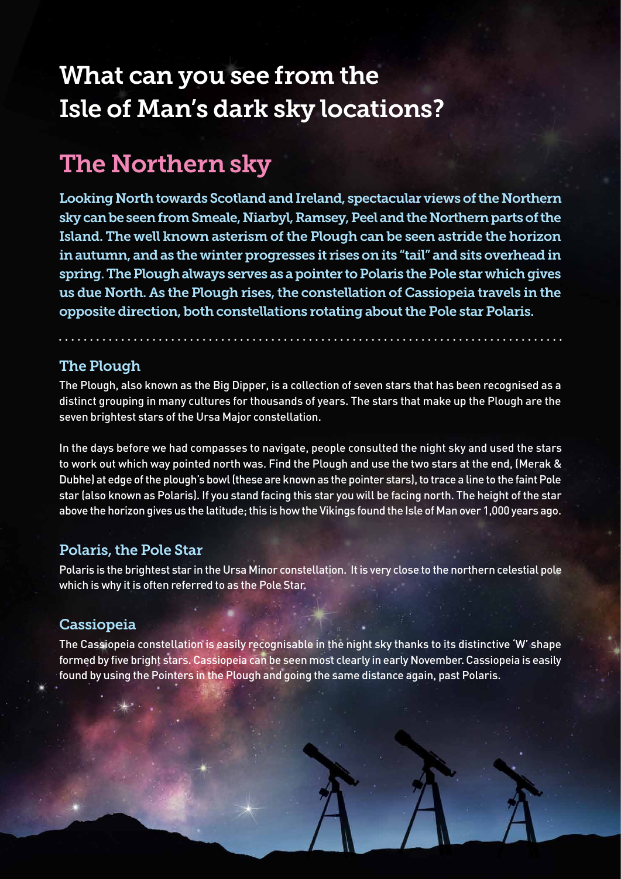# What can you see from the Isle of Man's dark sky locations?

## The Northern sky

Looking North towards Scotland and Ireland, spectacular views of the Northern sky can be seen from Smeale, Niarbyl, Ramsey, Peel and the Northern parts of the Island. The well known asterism of the Plough can be seen astride the horizon in autumn, and as the winter progresses it rises on its "tail" and sits overhead in spring. The Plough always serves as a pointer to Polaris the Pole star which gives us due North. As the Plough rises, the constellation of Cassiopeia travels in the opposite direction, both constellations rotating about the Pole star Polaris.

### The Plough

The Plough, also known as the Big Dipper, is a collection of seven stars that has been recognised as a distinct grouping in many cultures for thousands of years. The stars that make up the Plough are the seven brightest stars of the Ursa Major constellation.

In the days before we had compasses to navigate, people consulted the night sky and used the stars to work out which way pointed north was. Find the Plough and use the two stars at the end, (Merak & Dubhe) at edge of the plough's bowl (these are known as the pointer stars), to trace a line to the faint Pole star (also known as Polaris). If you stand facing this star you will be facing north. The height of the star above the horizon gives us the latitude; this is how the Vikings found the Isle of Man over 1,000 years ago.

### Polaris, the Pole Star

Polaris is the brightest star in the Ursa Minor constellation. It is very close to the northern celestial pole which is why it is often referred to as the Pole Star.

### Cassiopeia

The Cassiopeia constellation is easily recognisable in the night sky thanks to its distinctive 'W' shape formed by five bright stars. Cassiopeia can be seen most clearly in early November. Cassiopeia is easily found by using the Pointers in the Plough and going the same distance again, past Polaris.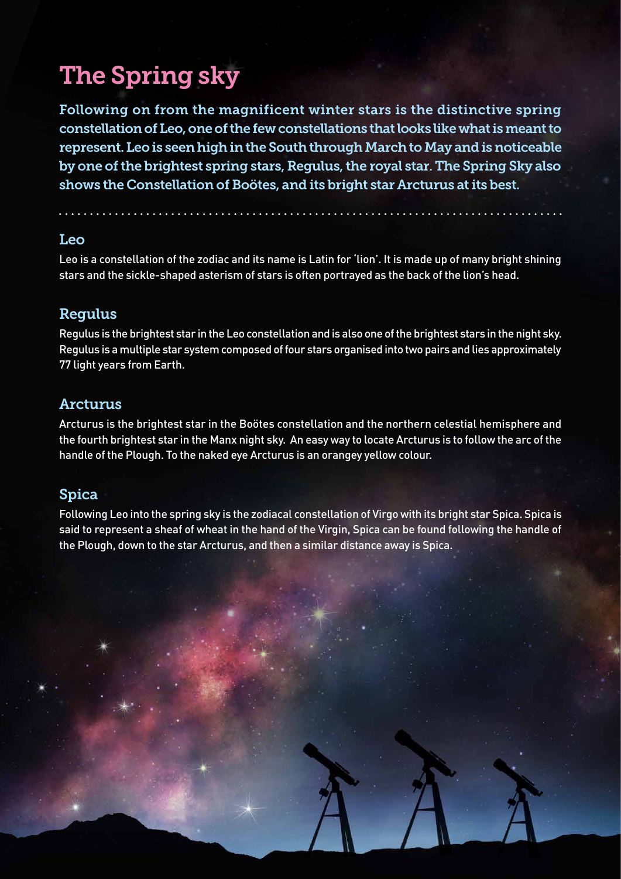# The Spring sky

Following on from the magnificent winter stars is the distinctive spring constellation of Leo, one of the few constellations that looks like what is meant to represent. Leo is seen high in the South through March to May and is noticeable by one of the brightest spring stars, Regulus, the royal star. The Spring Sky also shows the Constellation of Boötes, and its bright star Arcturus at its best.

#### Leo

Leo is a constellation of the zodiac and its name is Latin for 'lion'. It is made up of many bright shining stars and the sickle-shaped asterism of stars is often portrayed as the back of the lion's head.

### Regulus

Regulus is the brightest star in the Leo constellation and is also one of the brightest stars in the night sky. Regulus is a multiple star system composed of four stars organised into two pairs and lies approximately 77 light years from Earth.

#### Arcturus

Arcturus is the brightest star in the Boötes constellation and the northern celestial hemisphere and the fourth brightest star in the Manx night sky. An easy way to locate Arcturus is to follow the arc of the handle of the Plough. To the naked eye Arcturus is an orangey yellow colour.

### Spica

Following Leo into the spring sky is the zodiacal constellation of Virgo with its bright star Spica. Spica is said to represent a sheaf of wheat in the hand of the Virgin, Spica can be found following the handle of the Plough, down to the star Arcturus, and then a similar distance away is Spica.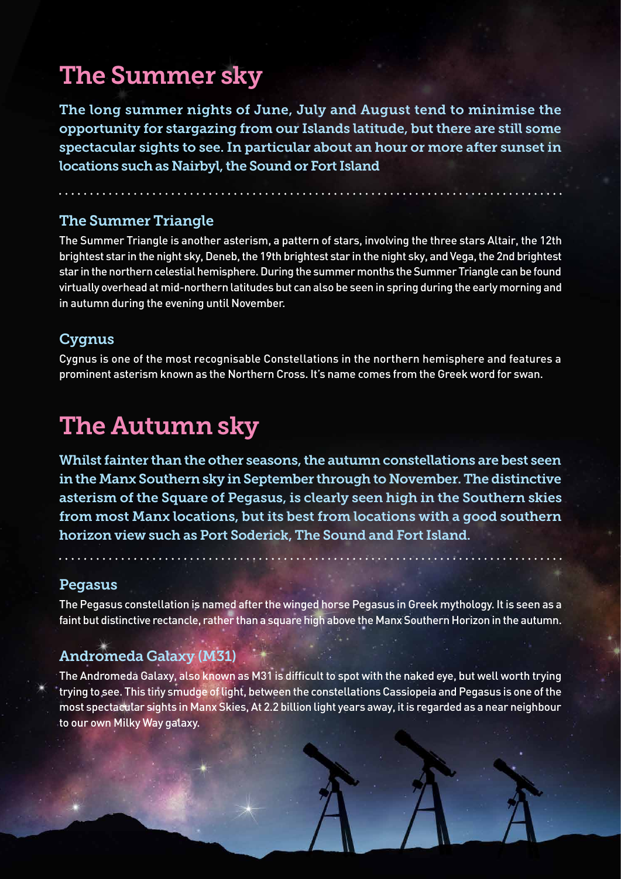## The Summer sky

The long summer nights of June, July and August tend to minimise the opportunity for stargazing from our Islands latitude, but there are still some spectacular sights to see. In particular about an hour or more after sunset in locations such as Nairbyl, the Sound or Fort Island

### The Summer Triangle

The Summer Triangle is another asterism, a pattern of stars, involving the three stars Altair, the 12th brightest star in the night sky, Deneb, the 19th brightest star in the night sky, and Vega, the 2nd brightest star in the northern celestial hemisphere. During the summer months the Summer Triangle can be found virtually overhead at mid-northern latitudes but can also be seen in spring during the early morning and in autumn during the evening until November.

### Cygnus

Cygnus is one of the most recognisable Constellations in the northern hemisphere and features a prominent asterism known as the Northern Cross. It's name comes from the Greek word for swan.

### The Autumn sky

Whilst fainter than the other seasons, the autumn constellations are best seen in the Manx Southern sky in September through to November. The distinctive asterism of the Square of Pegasus, is clearly seen high in the Southern skies from most Manx locations, but its best from locations with a good southern horizon view such as Port Soderick, The Sound and Fort Island.

a di servizione di controle

### Pegasus

The Pegasus constellation is named after the winged horse Pegasus in Greek mythology. It is seen as a faint but distinctive rectancle, rather than a square high above the Manx Southern Horizon in the autumn.

### Andromeda Galaxy (M31)

The Andromeda Galaxy, also known as M31 is difficult to spot with the naked eye, but well worth trying trying to see. This tiny smudge of light, between the constellations Cassiopeia and Pegasus is one of the most spectacular sights in Manx Skies, At 2.2 billion light years away, it is regarded as a near neighbour to our own Milky Way galaxy.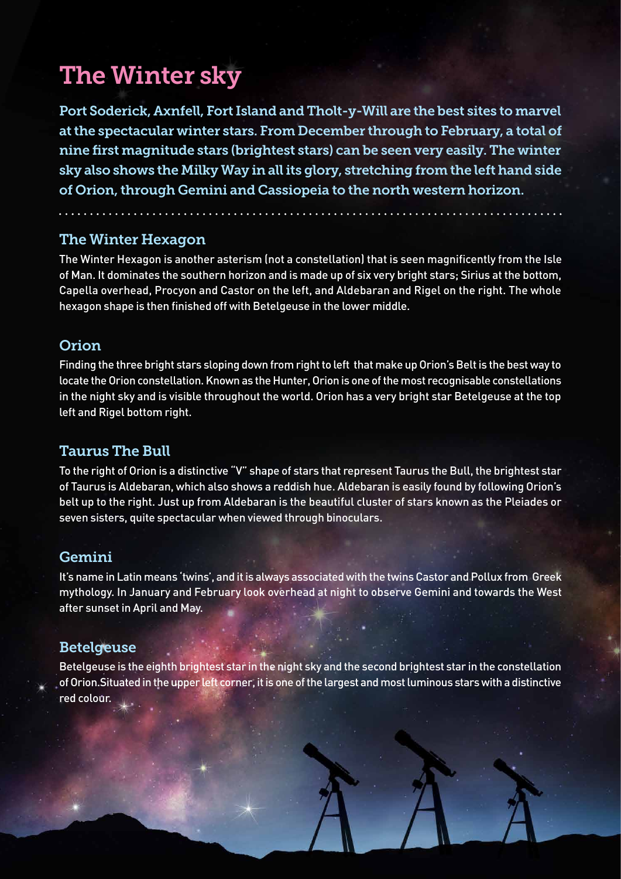## The Winter sky

Port Soderick, Axnfell, Fort Island and Tholt-y-Will are the best sites to marvel at the spectacular winter stars. From December through to February, a total of nine first magnitude stars (brightest stars) can be seen very easily. The winter sky also shows the Milky Way in all its glory, stretching from the left hand side of Orion, through Gemini and Cassiopeia to the north western horizon.

### The Winter Hexagon

The Winter Hexagon is another asterism (not a constellation) that is seen magnificently from the Isle of Man. It dominates the southern horizon and is made up of six very bright stars; Sirius at the bottom, Capella overhead, Procyon and Castor on the left, and Aldebaran and Rigel on the right. The whole hexagon shape is then finished off with Betelgeuse in the lower middle.

### Orion

Finding the three bright stars sloping down from right to left that make up Orion's Belt is the best way to locate the Orion constellation. Known as the Hunter, Orion is one of the most recognisable constellations in the night sky and is visible throughout the world. Orion has a very bright star Betelgeuse at the top left and Rigel bottom right.

### Taurus The Bull

To the right of Orion is a distinctive "V" shape of stars that represent Taurus the Bull, the brightest star of Taurus is Aldebaran, which also shows a reddish hue. Aldebaran is easily found by following Orion's belt up to the right. Just up from Aldebaran is the beautiful cluster of stars known as the Pleiades or seven sisters, quite spectacular when viewed through binoculars.

### Gemini

It's name in Latin means 'twins', and it is always associated with the twins Castor and Pollux from Greek mythology. In January and February look overhead at night to observe Gemini and towards the West after sunset in April and May.

### Betelgeuse

Betelgeuse is the eighth brightest star in the night sky and the second brightest star in the constellation of Orion.Situated in the upper left corner, it is one of the largest and most luminous stars with a distinctive red colour.